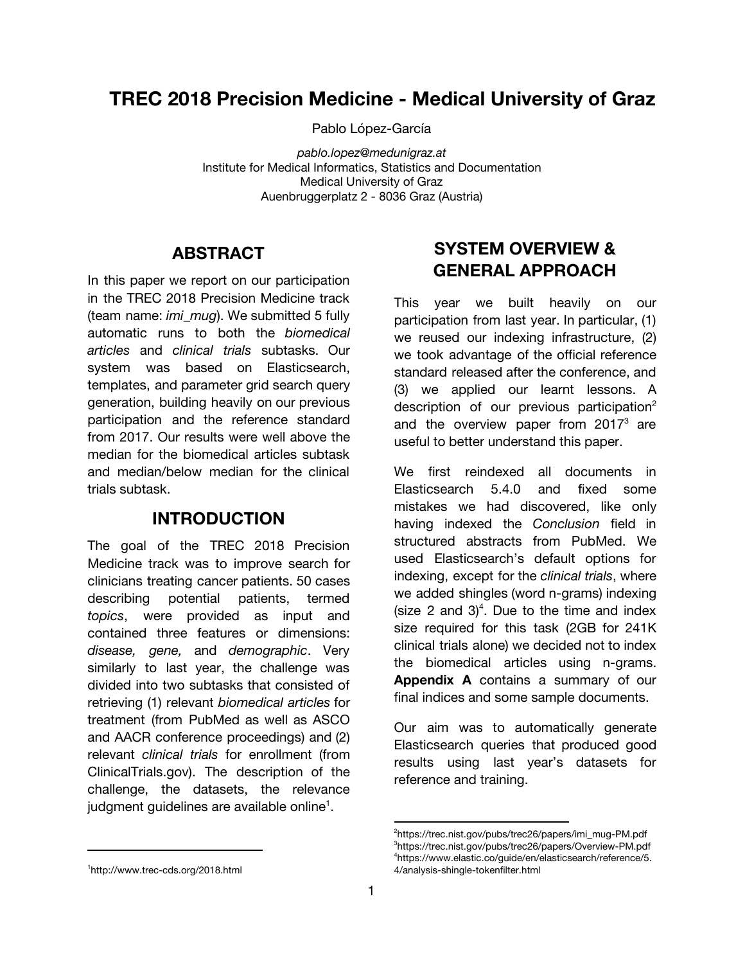## **TREC 2018 Precision Medicine - Medical University of Graz**

Pablo López-García

*pablo.lopez@medunigraz.at* Institute for Medical Informatics, Statistics and Documentation Medical University of Graz Auenbruggerplatz 2 - 8036 Graz (Austria)

## **ABSTRACT**

In this paper we report on our participation in the TREC 2018 Precision Medicine track (team name: *imi\_mug*). We submitted 5 fully automatic runs to both the *biomedical articles* and *clinical trials* subtasks. Our system was based on Elasticsearch, templates, and parameter grid search query generation, building heavily on our previous participation and the reference standard from 2017. Our results were well above the median for the biomedical articles subtask and median/below median for the clinical trials subtask.

## **INTRODUCTION**

The goal of the TREC 2018 Precision Medicine track was to improve search for clinicians treating cancer patients. 50 cases describing potential patients, termed *topics*, were provided as input and contained three features or dimensions: *disease, gene,* and *demographic*. Very similarly to last year, the challenge was divided into two subtasks that consisted of retrieving (1) relevant *biomedical articles* for treatment (from PubMed as well as ASCO and AACR conference proceedings) and (2) relevant *clinical trials* for enrollment (from ClinicalTrials.gov). The description of the challenge, the datasets, the relevance judgment guidelines are available online<sup>1</sup>.

## **SYSTEM OVERVIEW & GENERAL APPROACH**

This year we built heavily on our participation from last year. In particular, (1) we reused our indexing infrastructure, (2) we took advantage of the official reference standard released after the conference, and (3) we applied our learnt lessons. A description of our previous participation<sup>2</sup> and the overview paper from 2017 $3$  are useful to better understand this paper.

We first reindexed all documents in Elasticsearch 5.4.0 and fixed some mistakes we had discovered, like only having indexed the *Conclusion* field in structured abstracts from PubMed. We used Elasticsearch's default options for indexing, except for the *clinical trials*, where we added shingles (word n-grams) indexing (size 2 and 3)<sup>4</sup>. Due to the time and index size required for this task (2GB for 241K clinical trials alone) we decided not to index the biomedical articles using n-grams. **[Appendix](#page-3-0) A** contains a summary of our final indices and some sample documents.

Our aim was to automatically generate Elasticsearch queries that produced good results using last year's datasets for reference and training.

<sup>&</sup>lt;sup>2</sup>[https://trec.nist.gov/pubs/trec26/papers/imi\\_mug-PM.pdf](https://trec.nist.gov/pubs/trec26/papers/imi_mug-PM.pdf) <sup>3</sup><https://trec.nist.gov/pubs/trec26/papers/Overview-PM.pdf> <sup>4</sup>[https://www.elastic.co/guide/en/elasticsearch/reference/5.](https://www.elastic.co/guide/en/elasticsearch/reference/5.4/analysis-shingle-tokenfilter.html) [4/analysis-shingle-tokenfilter.html](https://www.elastic.co/guide/en/elasticsearch/reference/5.4/analysis-shingle-tokenfilter.html)

<sup>1</sup>[http://www.trec-cds.org/2018.html](http://www.trec-cds.org/2017.html)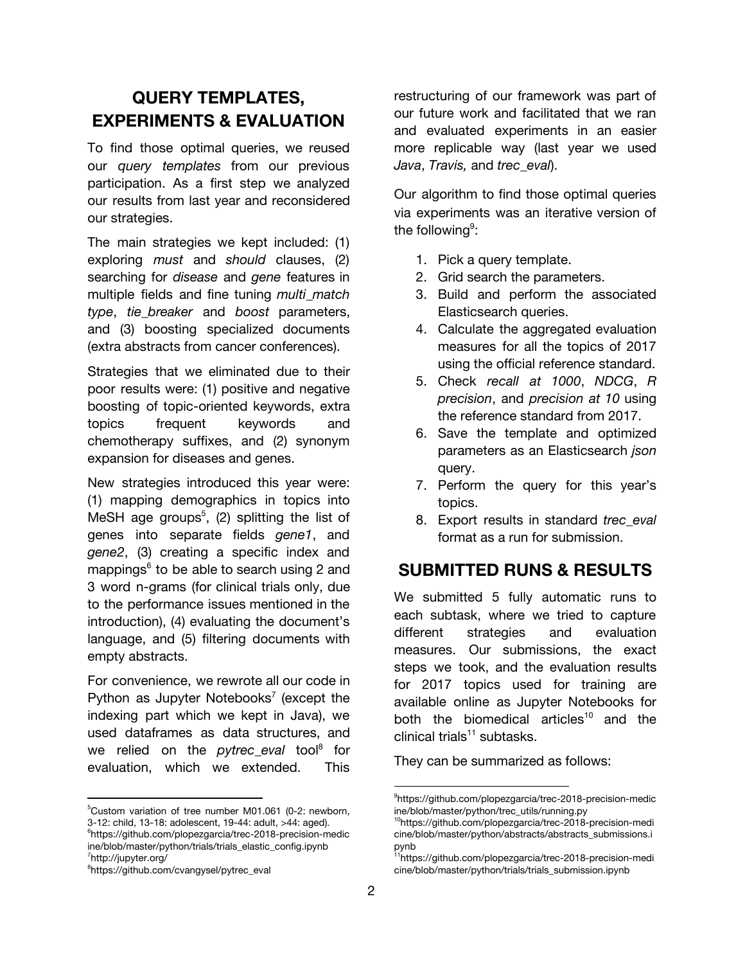## **QUERY TEMPLATES, EXPERIMENTS & EVALUATION**

To find those optimal queries, we reused our *query templates* from our previous participation. As a first step we analyzed our results from last year and reconsidered our strategies.

The main strategies we kept included: (1) exploring *must* and *should* clauses, (2) searching for *disease* and *gene* features in multiple fields and fine tuning *multi\_match type*, *tie\_breaker* and *boost* parameters, and (3) boosting specialized documents (extra abstracts from cancer conferences).

Strategies that we eliminated due to their poor results were: (1) positive and negative boosting of topic-oriented keywords, extra topics frequent keywords and chemotherapy suffixes, and (2) synonym expansion for diseases and genes.

New strategies introduced this year were: (1) mapping demographics in topics into MeSH age groups<sup>5</sup>, (2) splitting the list of genes into separate fields *gene1*, and *gene2*, (3) creating a specific index and mappings<sup>6</sup> to be able to search using 2 and 3 word n-grams (for clinical trials only, due to the performance issues mentioned in the introduction), (4) evaluating the document's language, and (5) filtering documents with empty abstracts.

For convenience, we rewrote all our code in Python as Jupyter Notebooks<sup>7</sup> (except the indexing part which we kept in Java), we used dataframes as data structures, and we relied on the *pytrec\_eval* tool<sup>8</sup> for evaluation, which we extended. This

restructuring of our framework was part of our future work and facilitated that we ran and evaluated experiments in an easier more replicable way (last year we used *Java*, *Travis,* and *trec\_eval*).

Our algorithm to find those optimal queries via experiments was an iterative version of the following $9$ :

- 1. Pick a query template.
- 2. Grid search the parameters.
- 3. Build and perform the associated Elasticsearch queries.
- 4. Calculate the aggregated evaluation measures for all the topics of 2017 using the official reference standard.
- 5. Check *recall at 1000*, *NDCG*, *R precision*, and *precision at 10* using the reference standard from 2017.
- 6. Save the template and optimized parameters as an Elasticsearch *json* query.
- 7. Perform the query for this year's topics.
- 8. Export results in standard *trec\_eval* format as a run for submission.

## **SUBMITTED RUNS & RESULTS**

We submitted 5 fully automatic runs to each subtask, where we tried to capture different strategies and evaluation measures. Our submissions, the exact steps we took, and the evaluation results for 2017 topics used for training are available online as Jupyter Notebooks for both the biomedical articles<sup>10</sup> and the clinical trials<sup>11</sup> subtasks.

They can be summarized as follows:

<sup>5</sup>Custom variation of tree number M01.061 (0-2: newborn, 3-12: child, 13-18: adolescent, 19-44: adult, >44: aged). <sup>6</sup>[https://github.com/plopezgarcia/trec-2018-precision-medic](https://github.com/plopezgarcia/trec-2018-precision-medicine/blob/master/python/trials/trials_elastic_config.ipynb) [ine/blob/master/python/trials/trials\\_elastic\\_config.ipynb](https://github.com/plopezgarcia/trec-2018-precision-medicine/blob/master/python/trials/trials_elastic_config.ipynb) <sup>7</sup><http://jupyter.org/>

<sup>8</sup>[https://github.com/cvangysel/pytrec\\_eval](https://github.com/cvangysel/pytrec_eval)

<sup>9</sup>[https://github.com/plopezgarcia/trec-2018-precision-medic](https://github.com/plopezgarcia/trec-2018-precision-medicine/blob/master/python/trec_utils/running.py) [ine/blob/master/python/trec\\_utils/running.py](https://github.com/plopezgarcia/trec-2018-precision-medicine/blob/master/python/trec_utils/running.py)

<sup>10</sup>[https://github.com/plopezgarcia/trec-2018-precision-medi](https://github.com/plopezgarcia/trec-2018-precision-medicine/blob/master/python/abstracts/abstracts_submissions.ipynb) [cine/blob/master/python/abstracts/abstracts\\_submissions.i](https://github.com/plopezgarcia/trec-2018-precision-medicine/blob/master/python/abstracts/abstracts_submissions.ipynb) [pynb](https://github.com/plopezgarcia/trec-2018-precision-medicine/blob/master/python/abstracts/abstracts_submissions.ipynb)

<sup>&</sup>lt;sup>1</sup>[https://github.com/plopezgarcia/trec-2018-precision-medi](https://github.com/plopezgarcia/trec-2018-precision-medicine/blob/master/python/trials/trials_submission.ipynb) [cine/blob/master/python/trials/trials\\_submission.ipynb](https://github.com/plopezgarcia/trec-2018-precision-medicine/blob/master/python/trials/trials_submission.ipynb)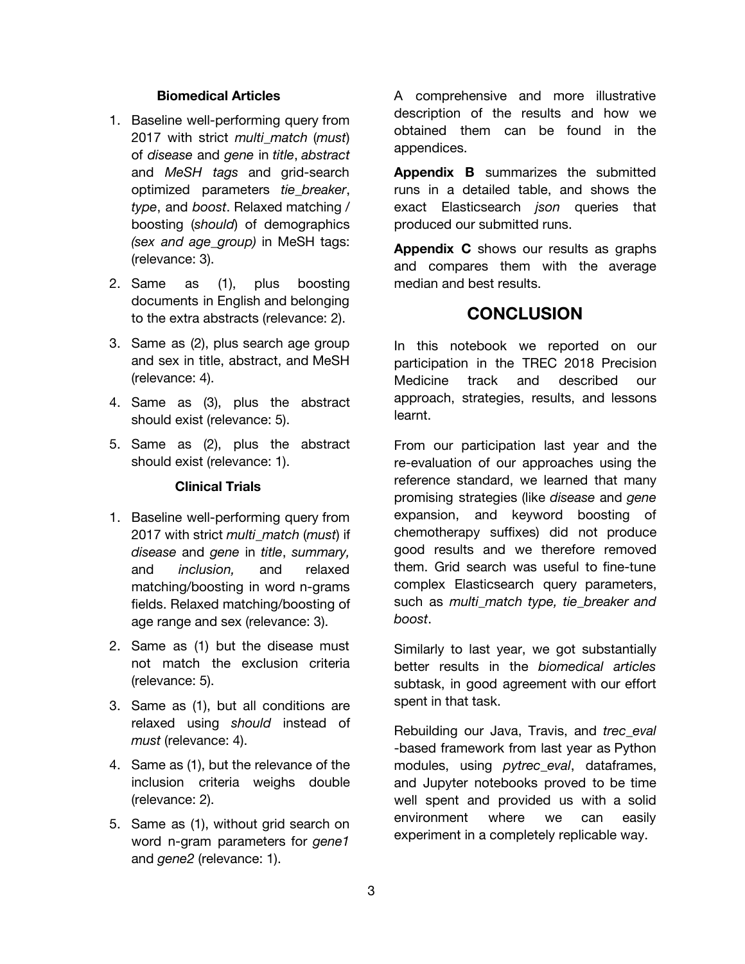### **Biomedical Articles**

- 1. Baseline well-performing query from 2017 with strict *multi\_match* (*must*) of *disease* and *gene* in *title*, *abstract* and *MeSH tags* and grid-search optimized parameters *tie\_breaker*, *type*, and *boost*. Relaxed matching / boosting (*should*) of demographics *(sex and age\_group)* in MeSH tags: (relevance: 3).
- 2. Same as (1), plus boosting documents in English and belonging to the extra abstracts (relevance: 2).
- 3. Same as (2), plus search age group and sex in title, abstract, and MeSH (relevance: 4).
- 4. Same as (3), plus the abstract should exist (relevance: 5).
- 5. Same as (2), plus the abstract should exist (relevance: 1).

### **Clinical Trials**

- 1. Baseline well-performing query from 2017 with strict *multi\_match* (*must*) if *disease* and *gene* in *title*, *summary,* and *inclusion,* and relaxed matching/boosting in word n-grams fields. Relaxed matching/boosting of age range and sex (relevance: 3).
- 2. Same as (1) but the disease must not match the exclusion criteria (relevance: 5).
- 3. Same as (1), but all conditions are relaxed using *should* instead of *must* (relevance: 4).
- 4. Same as (1), but the relevance of the inclusion criteria weighs double (relevance: 2).
- 5. Same as (1), without grid search on word n-gram parameters for *gene1* and *gene2* (relevance: 1).

A comprehensive and more illustrative description of the results and how we obtained them can be found in the appendices.

**[Appendix](#page-7-0) B** summarizes the submitted runs in a detailed table, and shows the exact Elasticsearch *json* queries that produced our submitted runs.

**[Appendix](#page-25-0) C** shows our results as graphs and compares them with the average median and best results.

## **CONCLUSION**

In this notebook we reported on our participation in the TREC 2018 Precision Medicine track and described our approach, strategies, results, and lessons learnt.

From our participation last year and the re-evaluation of our approaches using the reference standard, we learned that many promising strategies (like *disease* and *gene* expansion, and keyword boosting of chemotherapy suffixes) did not produce good results and we therefore removed them. Grid search was useful to fine-tune complex Elasticsearch query parameters, such as *multi\_match type, tie\_breaker and boost*.

Similarly to last year, we got substantially better results in the *biomedical articles* subtask, in good agreement with our effort spent in that task.

Rebuilding our Java, Travis, and *trec\_eval* -based framework from last year as Python modules, using *pytrec\_eval*, dataframes, and Jupyter notebooks proved to be time well spent and provided us with a solid environment where we can easily experiment in a completely replicable way.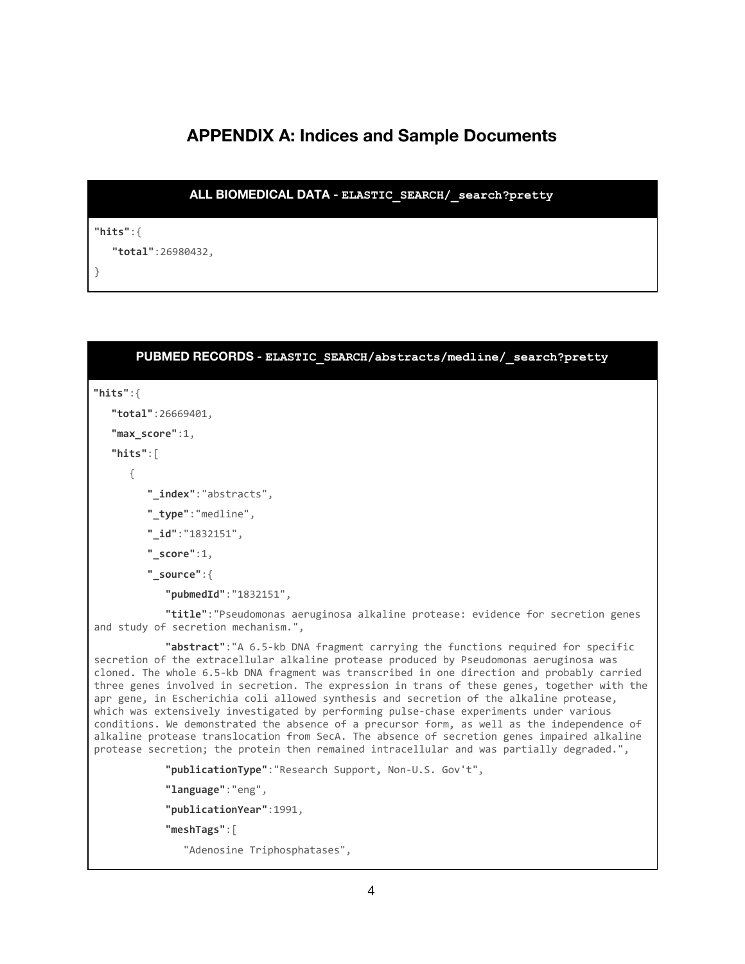# **APPENDIX A: Indices and Sample Documents**

```
ALL BIOMEDICAL DATA - ELASTIC_SEARCH/_search?pretty
"hits":{
   "total":26980432,
}
```

| PUBMED RECORDS - ELASTIC SEARCH/abstracts/medline/ search?pretty                                                                                                                                                                                                                                                                                                                                                                                                                                                                                                                                                                                                                                                                                                                                                                                          |
|-----------------------------------------------------------------------------------------------------------------------------------------------------------------------------------------------------------------------------------------------------------------------------------------------------------------------------------------------------------------------------------------------------------------------------------------------------------------------------------------------------------------------------------------------------------------------------------------------------------------------------------------------------------------------------------------------------------------------------------------------------------------------------------------------------------------------------------------------------------|
| "hits": $\{$                                                                                                                                                                                                                                                                                                                                                                                                                                                                                                                                                                                                                                                                                                                                                                                                                                              |
| "total":26669401,                                                                                                                                                                                                                                                                                                                                                                                                                                                                                                                                                                                                                                                                                                                                                                                                                                         |
| "max_score":1,                                                                                                                                                                                                                                                                                                                                                                                                                                                                                                                                                                                                                                                                                                                                                                                                                                            |
| " $hits$ ":                                                                                                                                                                                                                                                                                                                                                                                                                                                                                                                                                                                                                                                                                                                                                                                                                                               |
| ₹                                                                                                                                                                                                                                                                                                                                                                                                                                                                                                                                                                                                                                                                                                                                                                                                                                                         |
| "_index":"abstracts",                                                                                                                                                                                                                                                                                                                                                                                                                                                                                                                                                                                                                                                                                                                                                                                                                                     |
| "_type":"medline",                                                                                                                                                                                                                                                                                                                                                                                                                                                                                                                                                                                                                                                                                                                                                                                                                                        |
| " id":"1832151",                                                                                                                                                                                                                                                                                                                                                                                                                                                                                                                                                                                                                                                                                                                                                                                                                                          |
| " $score":1$ ,                                                                                                                                                                                                                                                                                                                                                                                                                                                                                                                                                                                                                                                                                                                                                                                                                                            |
| $"_source":$                                                                                                                                                                                                                                                                                                                                                                                                                                                                                                                                                                                                                                                                                                                                                                                                                                              |
| "pubmedId": "1832151",                                                                                                                                                                                                                                                                                                                                                                                                                                                                                                                                                                                                                                                                                                                                                                                                                                    |
| "title": "Pseudomonas aeruginosa alkaline protease: evidence for secretion genes<br>and study of secretion mechanism.",                                                                                                                                                                                                                                                                                                                                                                                                                                                                                                                                                                                                                                                                                                                                   |
| "abstract": "A 6.5-kb DNA fragment carrying the functions required for specific<br>secretion of the extracellular alkaline protease produced by Pseudomonas aeruginosa was<br>cloned. The whole 6.5-kb DNA fragment was transcribed in one direction and probably carried<br>three genes involved in secretion. The expression in trans of these genes, together with the<br>apr gene, in Escherichia coli allowed synthesis and secretion of the alkaline protease,<br>which was extensively investigated by performing pulse-chase experiments under various<br>conditions. We demonstrated the absence of a precursor form, as well as the independence of<br>alkaline protease translocation from SecA. The absence of secretion genes impaired alkaline<br>protease secretion; the protein then remained intracellular and was partially degraded.", |
| "publicationType": "Research Support, Non-U.S. Gov't",                                                                                                                                                                                                                                                                                                                                                                                                                                                                                                                                                                                                                                                                                                                                                                                                    |
| "language": "eng",                                                                                                                                                                                                                                                                                                                                                                                                                                                                                                                                                                                                                                                                                                                                                                                                                                        |
| "publicationYear":1991,                                                                                                                                                                                                                                                                                                                                                                                                                                                                                                                                                                                                                                                                                                                                                                                                                                   |
| "meshTags":                                                                                                                                                                                                                                                                                                                                                                                                                                                                                                                                                                                                                                                                                                                                                                                                                                               |
| "Adenosine Triphosphatases",                                                                                                                                                                                                                                                                                                                                                                                                                                                                                                                                                                                                                                                                                                                                                                                                                              |
|                                                                                                                                                                                                                                                                                                                                                                                                                                                                                                                                                                                                                                                                                                                                                                                                                                                           |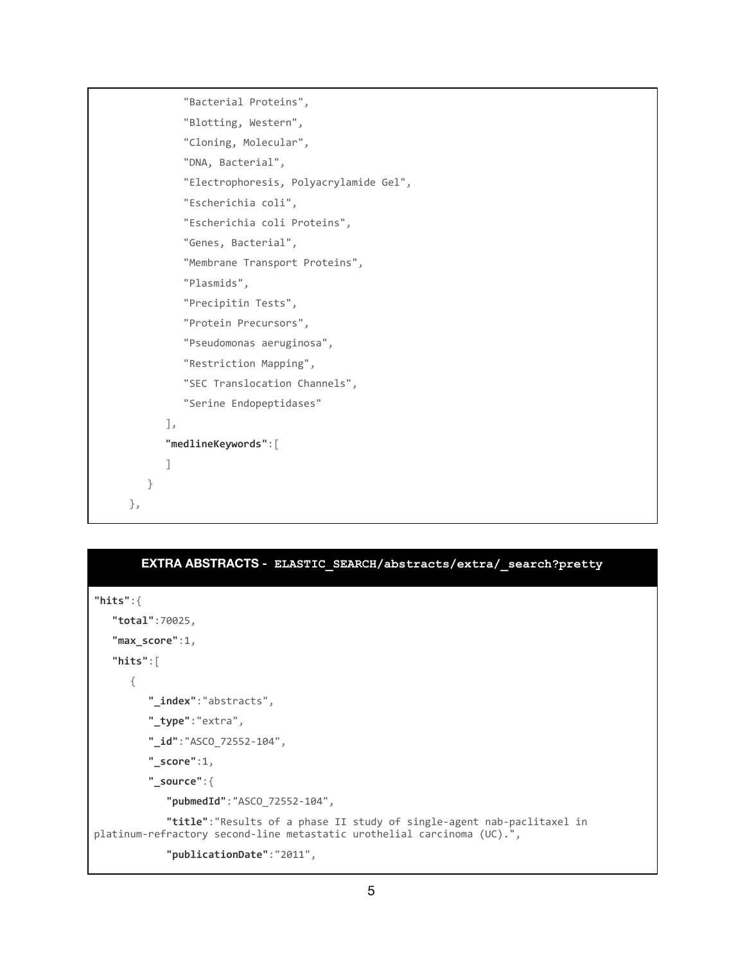```
 "Bacterial Proteins",
          "Blotting, Western",
          "Cloning, Molecular",
          "DNA, Bacterial",
          "Electrophoresis, Polyacrylamide Gel",
          "Escherichia coli",
          "Escherichia coli Proteins",
          "Genes, Bacterial",
          "Membrane Transport Proteins",
          "Plasmids",
          "Precipitin Tests",
          "Protein Precursors",
          "Pseudomonas aeruginosa",
          "Restriction Mapping",
          "SEC Translocation Channels",
          "Serine Endopeptidases"
       ],
       "medlineKeywords":[
       ]
    }
 },
```

| EXTRA ABSTRACTS - ELASTIC SEARCH/abstracts/extra/ search?pretty                                                                                    |
|----------------------------------------------------------------------------------------------------------------------------------------------------|
| "hits": $\{$                                                                                                                                       |
| " $total$ ":70025,                                                                                                                                 |
| "max score": $1$ ,                                                                                                                                 |
| "hits": $\lceil$                                                                                                                                   |
| ₹                                                                                                                                                  |
| "_index":"abstracts",                                                                                                                              |
| " type":"extra",                                                                                                                                   |
| " $id$ ":"ASCO 72552-104",                                                                                                                         |
| " $score$ ":1,                                                                                                                                     |
| $"$ _source": {                                                                                                                                    |
| "pubmedId": "ASCO 72552-104",                                                                                                                      |
| "title": "Results of a phase II study of single-agent nab-paclitaxel in<br>platinum-refractory second-line metastatic urothelial carcinoma (UC).", |
| "publicationDate":"2011",                                                                                                                          |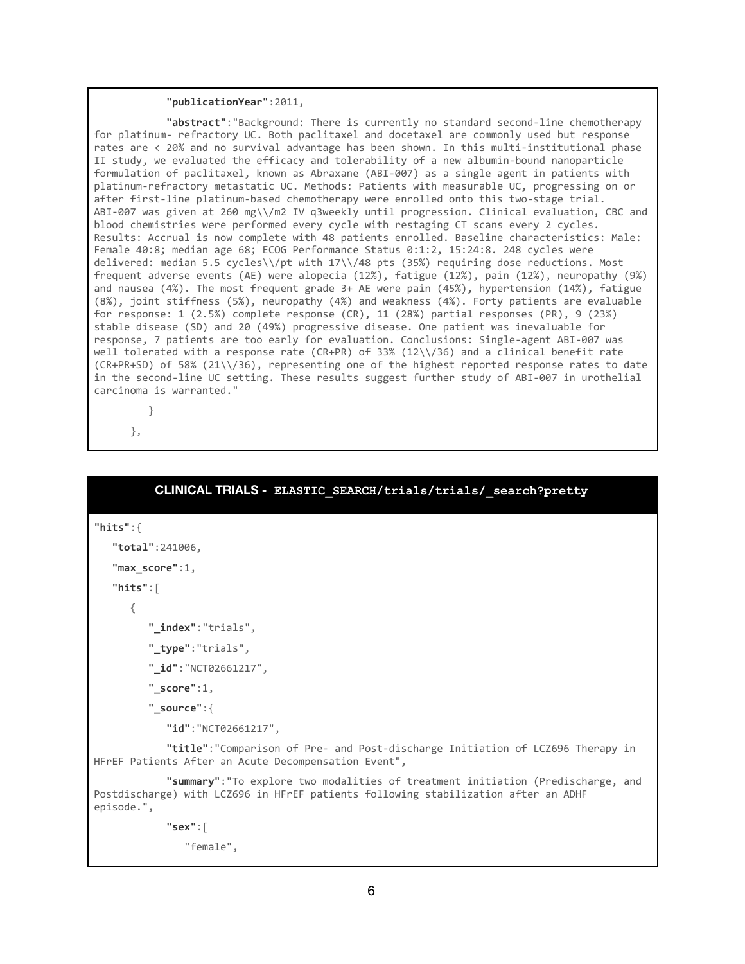#### **"publicationYear"**:2011,

 **"abstract"**:"Background: There is currently no standard second-line chemotherapy for platinum- refractory UC. Both paclitaxel and docetaxel are commonly used but response rates are < 20% and no survival advantage has been shown. In this multi-institutional phase II study, we evaluated the efficacy and tolerability of a new albumin-bound nanoparticle formulation of paclitaxel, known as Abraxane (ABI-007) as a single agent in patients with platinum-refractory metastatic UC. Methods: Patients with measurable UC, progressing on or after first-line platinum-based chemotherapy were enrolled onto this two-stage trial. ABI-007 was given at 260 mg\\/m2 IV q3weekly until progression. Clinical evaluation, CBC and blood chemistries were performed every cycle with restaging CT scans every 2 cycles. Results: Accrual is now complete with 48 patients enrolled. Baseline characteristics: Male: Female 40:8; median age 68; ECOG Performance Status 0:1:2, 15:24:8. 248 cycles were delivered: median 5.5 cycles\\/pt with 17\\/48 pts (35%) requiring dose reductions. Most frequent adverse events (AE) were alopecia (12%), fatigue (12%), pain (12%), neuropathy (9%) and nausea (4%). The most frequent grade 3+ AE were pain (45%), hypertension (14%), fatigue (8%), joint stiffness (5%), neuropathy (4%) and weakness (4%). Forty patients are evaluable for response: 1 (2.5%) complete response (CR), 11 (28%) partial responses (PR), 9 (23%) stable disease (SD) and 20 (49%) progressive disease. One patient was inevaluable for response, 7 patients are too early for evaluation. Conclusions: Single-agent ABI-007 was well tolerated with a response rate (CR+PR) of 33% (12\\/36) and a clinical benefit rate (CR+PR+SD) of 58% (21\\/36), representing one of the highest reported response rates to date in the second-line UC setting. These results suggest further study of ABI-007 in urothelial carcinoma is warranted."

```
 }
```

```
 },
```
## **CLINICAL TRIALS - ELASTIC\_SEARCH/trials/trials/\_search?pretty "hits"**:{ **"total"**:241006, **"max\_score"**:1, **"hits"**:[ { **"\_index"**:"trials", **"\_type"**:"trials", **"\_id"**:"NCT02661217", **"\_score"**:1, **"\_source"**:{ **"id"**:"NCT02661217", **"title"**:"Comparison of Pre- and Post-discharge Initiation of LCZ696 Therapy in HFrEF Patients After an Acute Decompensation Event", **"summary"**:"To explore two modalities of treatment initiation (Predischarge, and Postdischarge) with LCZ696 in HFrEF patients following stabilization after an ADHF episode.", **"sex"**:[ "female",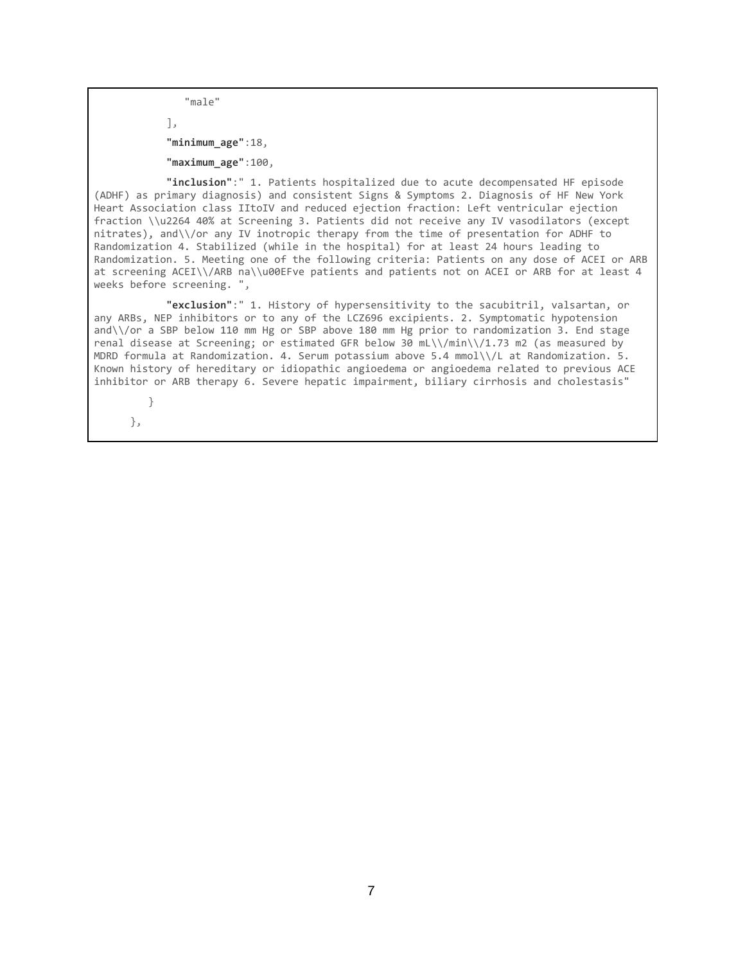"male"

 ], **"minimum\_age"**:18, **"maximum\_age"**:100,

 **"inclusion"**:" 1. Patients hospitalized due to acute decompensated HF episode (ADHF) as primary diagnosis) and consistent Signs & Symptoms 2. Diagnosis of HF New York Heart Association class IItoIV and reduced ejection fraction: Left ventricular ejection fraction \\u2264 40% at Screening 3. Patients did not receive any IV vasodilators (except nitrates), and\\/or any IV inotropic therapy from the time of presentation for ADHF to Randomization 4. Stabilized (while in the hospital) for at least 24 hours leading to Randomization. 5. Meeting one of the following criteria: Patients on any dose of ACEI or ARB at screening ACEI\\/ARB na\\u00EFve patients and patients not on ACEI or ARB for at least 4 weeks before screening. ",

 **"exclusion"**:" 1. History of hypersensitivity to the sacubitril, valsartan, or any ARBs, NEP inhibitors or to any of the LCZ696 excipients. 2. Symptomatic hypotension and\\/or a SBP below 110 mm Hg or SBP above 180 mm Hg prior to randomization 3. End stage renal disease at Screening; or estimated GFR below 30 mL\\/min\\/1.73 m2 (as measured by MDRD formula at Randomization. 4. Serum potassium above 5.4 mmol\\/L at Randomization. 5. Known history of hereditary or idiopathic angioedema or angioedema related to previous ACE inhibitor or ARB therapy 6. Severe hepatic impairment, biliary cirrhosis and cholestasis"

 } },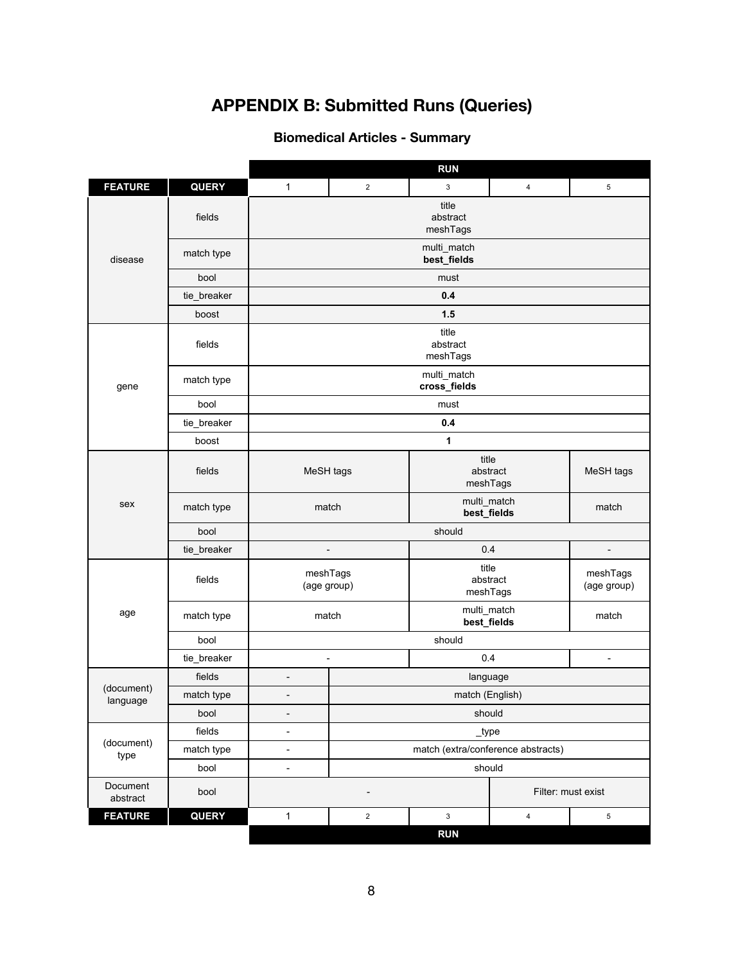# **APPENDIX B: Submitted Runs (Queries)**

## **Biomedical Articles - Summary**

<span id="page-7-0"></span>

|                        |              |                               |                                    | <b>RUN</b>                    |                            |                          |  |  |
|------------------------|--------------|-------------------------------|------------------------------------|-------------------------------|----------------------------|--------------------------|--|--|
| <b>FEATURE</b>         | <b>QUERY</b> | $\mathbf{1}$                  | $\overline{2}$                     | 3                             | 4                          | 5                        |  |  |
| disease                | fields       | title<br>abstract<br>meshTags |                                    |                               |                            |                          |  |  |
|                        | match type   | multi_match<br>best_fields    |                                    |                               |                            |                          |  |  |
|                        | bool         | must                          |                                    |                               |                            |                          |  |  |
|                        | tie_breaker  | 0.4                           |                                    |                               |                            |                          |  |  |
|                        | boost        |                               |                                    | 1.5                           |                            |                          |  |  |
|                        | fields       | title<br>abstract<br>meshTags |                                    |                               |                            |                          |  |  |
| gene                   | match type   | multi_match<br>cross_fields   |                                    |                               |                            |                          |  |  |
|                        | bool         |                               |                                    | must                          |                            |                          |  |  |
|                        | tie_breaker  |                               |                                    | 0.4                           |                            |                          |  |  |
|                        | boost        |                               |                                    | 1                             |                            |                          |  |  |
|                        | fields       | MeSH tags                     |                                    | title                         | abstract<br>meshTags       | MeSH tags                |  |  |
| sex                    | match type   | match                         |                                    |                               | multi_match<br>best_fields | match                    |  |  |
|                        | bool         | should                        |                                    |                               |                            |                          |  |  |
|                        | tie_breaker  |                               | $\qquad \qquad -$                  | 0.4                           |                            | $\overline{\phantom{0}}$ |  |  |
|                        | fields       | meshTags<br>(age group)       |                                    | title<br>abstract<br>meshTags |                            | meshTags<br>(age group)  |  |  |
| age                    | match type   | match                         |                                    | multi_match<br>best_fields    |                            | match                    |  |  |
|                        | bool         |                               | should                             |                               |                            |                          |  |  |
|                        | tie_breaker  | $\overline{a}$                | 0.4                                |                               |                            | $\overline{\phantom{a}}$ |  |  |
|                        | fields       | $\overline{\phantom{a}}$      | language                           |                               |                            |                          |  |  |
| (document)<br>language | match type   | $\overline{\phantom{a}}$      | match (English)                    |                               |                            |                          |  |  |
|                        | bool         | $\overline{\phantom{a}}$      | should                             |                               |                            |                          |  |  |
|                        | fields       | $\overline{\phantom{a}}$      | $_t$ ype                           |                               |                            |                          |  |  |
| (document)<br>type     | match type   | $\overline{\phantom{a}}$      | match (extra/conference abstracts) |                               |                            |                          |  |  |
|                        | bool         | $\overline{\phantom{a}}$      | should                             |                               |                            |                          |  |  |
| Document<br>abstract   | bool         |                               | Filter: must exist                 |                               |                            |                          |  |  |
| <b>FEATURE</b>         | <b>QUERY</b> | $\mathbf{1}$                  | $\overline{2}$                     | $\mathbf{3}$                  | 4                          | 5                        |  |  |
|                        |              |                               |                                    | <b>RUN</b>                    |                            |                          |  |  |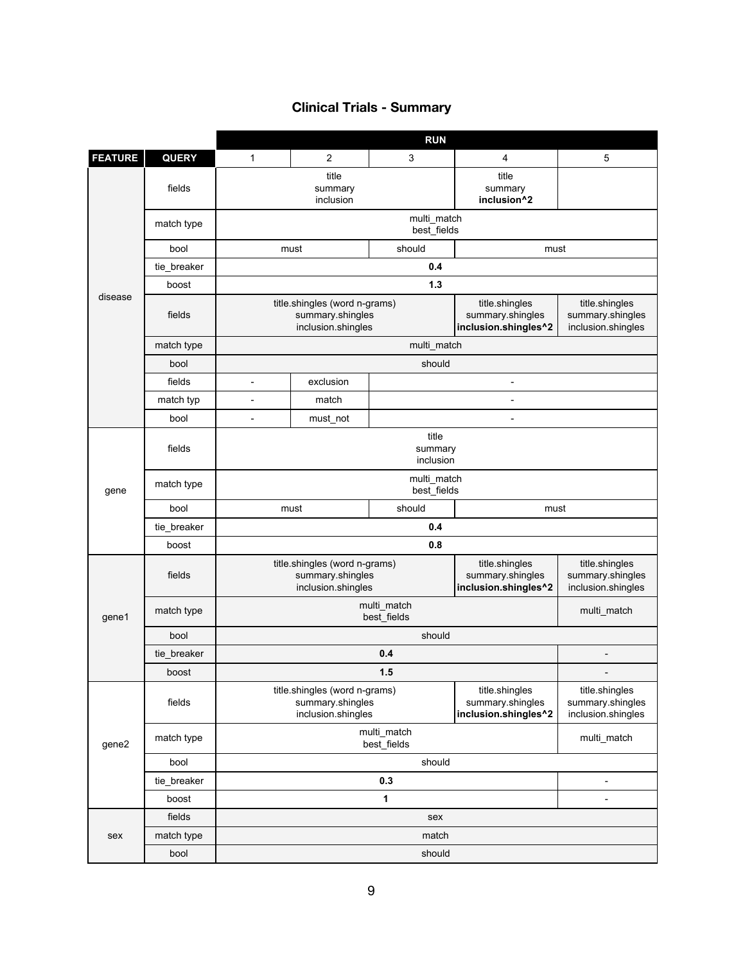### **Clinical Trials - Summary**

|                |              | <b>RUN</b>                                                              |                               |                                 |                                                            |                                                          |  |  |
|----------------|--------------|-------------------------------------------------------------------------|-------------------------------|---------------------------------|------------------------------------------------------------|----------------------------------------------------------|--|--|
| <b>FEATURE</b> | <b>QUERY</b> | $\mathbf{1}$                                                            | 2                             | 3                               | $\overline{4}$                                             | 5                                                        |  |  |
| disease        | fields       |                                                                         | title<br>summary<br>inclusion | title<br>summary<br>inclusion^2 |                                                            |                                                          |  |  |
|                | match type   |                                                                         |                               |                                 |                                                            |                                                          |  |  |
|                | bool         |                                                                         | must                          | should                          | must                                                       |                                                          |  |  |
|                | tie_breaker  |                                                                         |                               |                                 |                                                            |                                                          |  |  |
|                | boost        | $1.3$                                                                   |                               |                                 |                                                            |                                                          |  |  |
|                | fields       | title.shingles (word n-grams)<br>summary.shingles<br>inclusion.shingles |                               |                                 | title.shingles<br>summary.shingles<br>inclusion.shingles^2 | title.shingles<br>summary.shingles<br>inclusion.shingles |  |  |
|                | match type   |                                                                         | multi_match                   |                                 |                                                            |                                                          |  |  |
|                | bool         |                                                                         | should                        |                                 |                                                            |                                                          |  |  |
|                | fields       | $\overline{\phantom{a}}$                                                | exclusion                     | $\overline{\phantom{a}}$        |                                                            |                                                          |  |  |
|                | match typ    | $\overline{a}$                                                          | match                         |                                 |                                                            |                                                          |  |  |
|                | bool         | $\overline{\phantom{a}}$                                                | must_not                      |                                 | $\overline{\phantom{a}}$                                   |                                                          |  |  |
|                | fields       | title<br>summary<br>inclusion                                           |                               |                                 |                                                            |                                                          |  |  |
| gene           | match type   |                                                                         |                               |                                 |                                                            |                                                          |  |  |
|                | bool         | should<br>must                                                          |                               |                                 | must                                                       |                                                          |  |  |
|                | tie_breaker  | 0.4                                                                     |                               |                                 |                                                            |                                                          |  |  |
|                | boost        |                                                                         | 0.8                           |                                 |                                                            |                                                          |  |  |
|                | fields       | title.shingles (word n-grams)<br>summary.shingles<br>inclusion.shingles |                               |                                 | title.shingles<br>summary.shingles<br>inclusion.shingles^2 | title.shingles<br>summary.shingles<br>inclusion.shingles |  |  |
| gene1          | match type   |                                                                         | multi_match                   |                                 |                                                            |                                                          |  |  |
|                | bool         | should                                                                  |                               |                                 |                                                            |                                                          |  |  |
|                | tie_breaker  |                                                                         |                               |                                 |                                                            |                                                          |  |  |
|                | boost        | 1.5                                                                     |                               |                                 |                                                            |                                                          |  |  |
|                | fields       | title.shingles (word n-grams)<br>summary.shingles<br>inclusion.shingles |                               |                                 | title.shingles<br>summary.shingles<br>inclusion.shingles^2 | title.shingles<br>summary.shingles<br>inclusion.shingles |  |  |
| gene2          | match type   | multi_match<br>best_fields                                              |                               |                                 |                                                            | multi_match                                              |  |  |
|                | bool         |                                                                         |                               |                                 |                                                            |                                                          |  |  |
|                | tie_breaker  |                                                                         | 0.3                           |                                 |                                                            | $\overline{a}$                                           |  |  |
|                | boost        |                                                                         |                               | 1                               |                                                            |                                                          |  |  |
|                | fields       | sex                                                                     |                               |                                 |                                                            |                                                          |  |  |
| sex            | match type   |                                                                         |                               |                                 |                                                            |                                                          |  |  |
|                | bool         | should                                                                  |                               |                                 |                                                            |                                                          |  |  |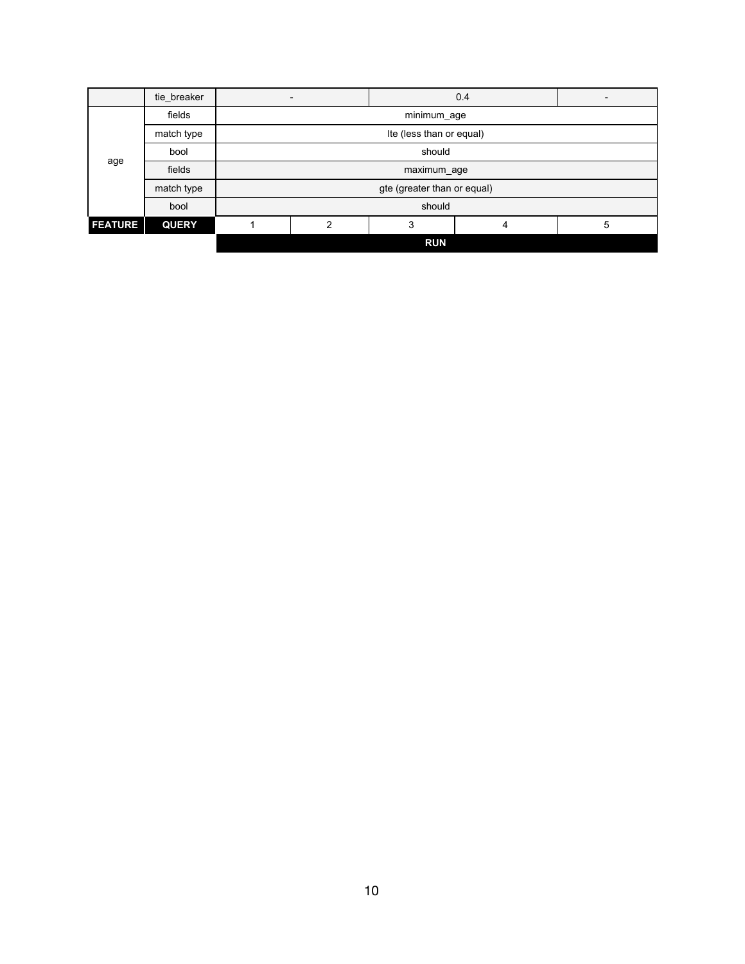|                | tie breaker  |                             |                          |            | 0.4 |   |  |  |
|----------------|--------------|-----------------------------|--------------------------|------------|-----|---|--|--|
| age            | fields       | minimum_age                 |                          |            |     |   |  |  |
|                | match type   |                             | Ite (less than or equal) |            |     |   |  |  |
|                | bool         | should                      |                          |            |     |   |  |  |
|                | fields       | maximum_age                 |                          |            |     |   |  |  |
|                | match type   | gte (greater than or equal) |                          |            |     |   |  |  |
|                | bool         | should                      |                          |            |     |   |  |  |
| <b>FEATURE</b> | <b>QUERY</b> |                             | っ                        | 3          | 4   | 5 |  |  |
|                |              |                             |                          | <b>RUN</b> |     |   |  |  |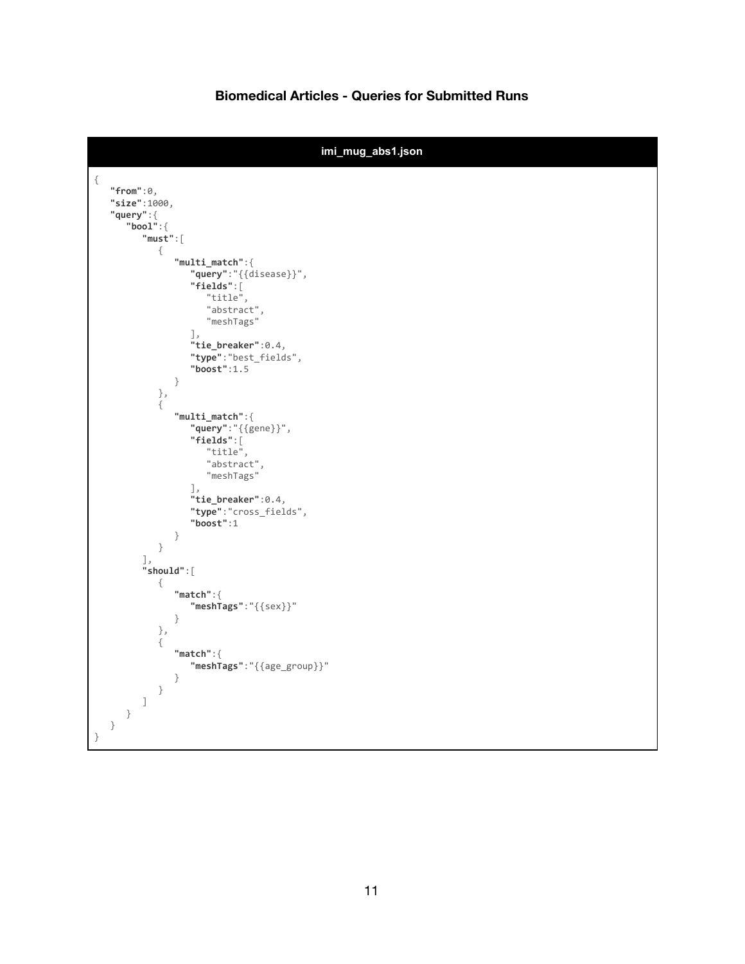### **Biomedical Articles - Queries for Submitted Runs**

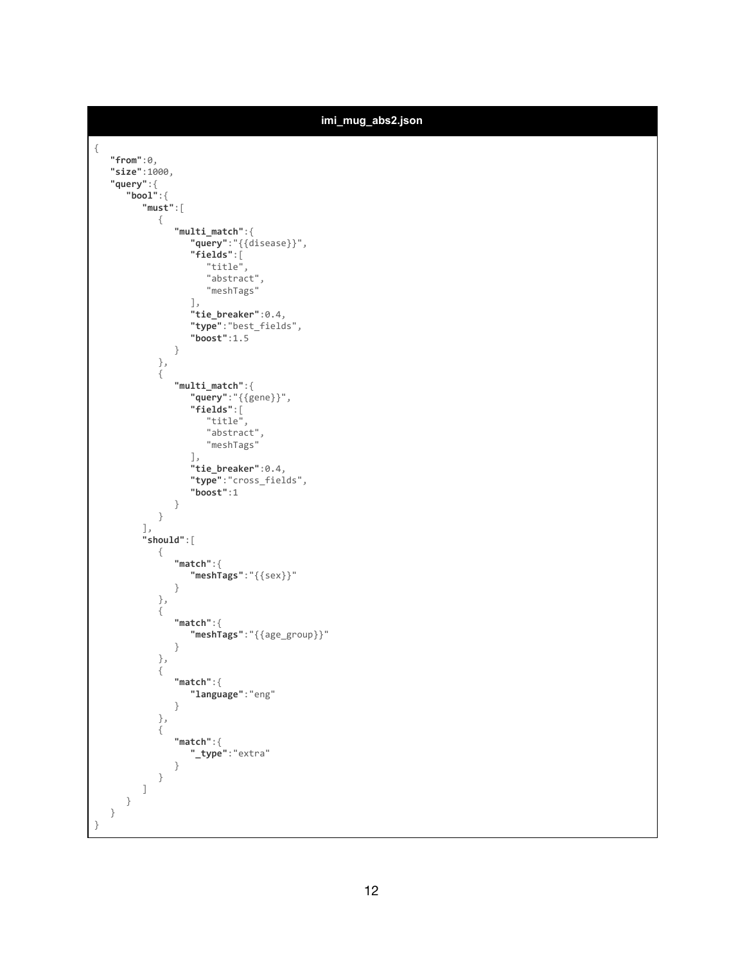| imi_mug_abs2.json                                                                                                                               |
|-------------------------------------------------------------------------------------------------------------------------------------------------|
| $\{$<br>"from": $\theta$ ,<br>"size":1000,<br>"query":{<br>"bool":<br>"must":                                                                   |
| $\{$<br>$"multi_matrix" : \{$<br>"query":"{{disease}}",<br>"fields":[<br>"title",<br>"abstract",<br>"meshTags"<br>$\cdot$<br>"tie_breaker":0.4, |
| "type":"best_fields",<br>"boost":1.5<br>$\}$<br>$\}$ ,<br>$\{$<br>$"multi_matrix" : \{$<br>"query": "{{gene}}",                                 |
| "fields":[<br>"title",<br>"abstract",<br>"meshTags"<br>$\cdot$<br>"tie_breaker":0.4,<br>"type":"cross_fields",<br>"boost":1<br>$\}$             |
| $\}$<br>$\cdot$<br>"should":[<br>$\{$<br>"match":<br>"meshTags":"{{sex}}"                                                                       |
| }<br>$\}$ ,<br>$\{$<br>"match":<br>"meshTags":"{{age_group}}"<br>$\}$                                                                           |
| $\}$ ,<br>$\{$<br>"match":<br>"language": "eng"<br>}                                                                                            |
| $\}$ , $\{$<br>"match":<br>"_type":"extra"<br>}<br>}                                                                                            |
| J<br>}<br>}<br>}                                                                                                                                |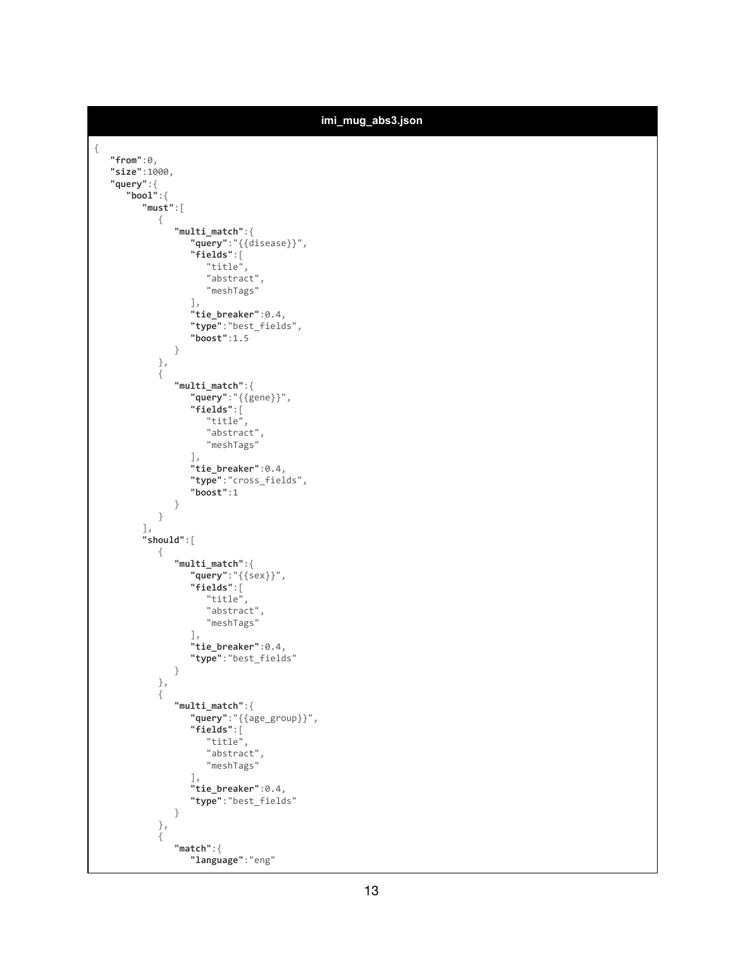```
imi_mug_abs3.json
{
  "from":0,
   "size":1000,
   "query":{
      "bool":{
         "must":[
            {
                "multi_match":{
                   "query":"{{disease}}",
                   "fields":[
                      "title",
                      "abstract",
                      "meshTags"
                   ],
                   "tie_breaker":0.4,
                   "type":"best_fields",
                   "boost":1.5
               }
            },
             {
                "multi_match":{
                   "query":"{{gene}}",
                   "fields":[
                      "title",
                      "abstract",
                      "meshTags"
                   ],
                   "tie_breaker":0.4,
                   "type":"cross_fields",
                   "boost":1
               }
            }
         ],
         "should":[
            {
                "multi_match":{
                   "query":"{{sex}}",
                   "fields":[
                      "title",
                      "abstract",
                      "meshTags"
                   ],
                   "tie_breaker":0.4,
                   "type":"best_fields"
                }
            },
            {
                "multi_match":{
                   "query":"{{age_group}}",
                   "fields":[
                      "title",
                      "abstract",
                      "meshTags"
                   ],
                   "tie_breaker":0.4,
                   "type":"best_fields"
               }
            },
             \tilde{\mathcal{E}}"match":{
                   "language":"eng"
```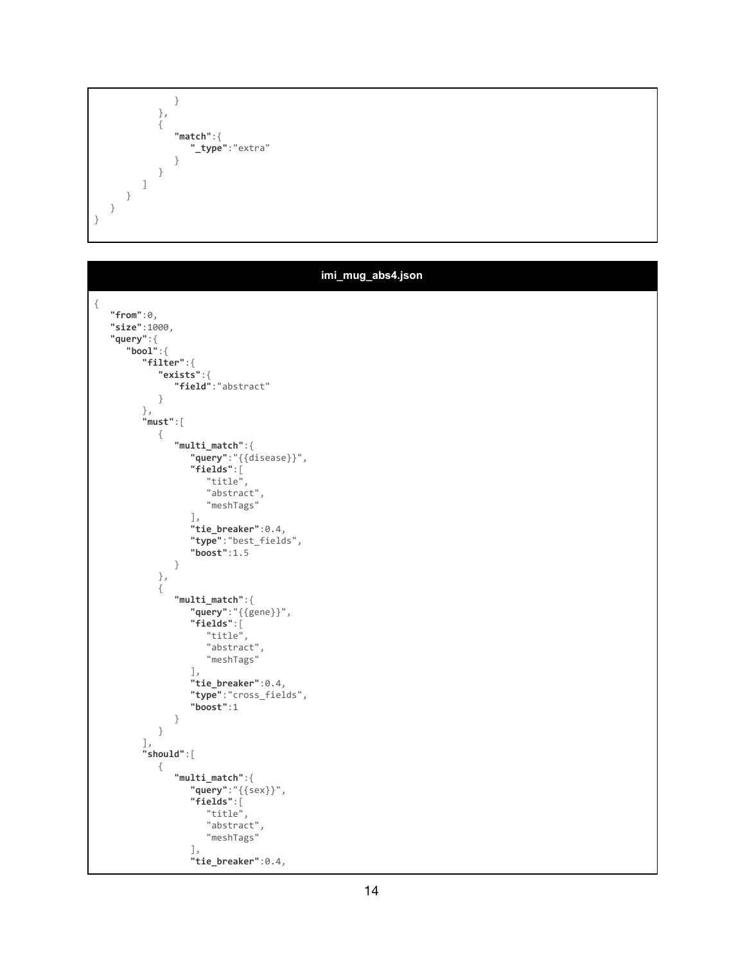} }, { **"match"**:{ **"\_type"**:"extra" } } ] } } }

|                                     | imi_mug_abs4.json |
|-------------------------------------|-------------------|
| $\{$                                |                   |
| "from": $\theta$ ,                  |                   |
| "size":1000,                        |                   |
| "query":{                           |                   |
| "bool":<br>"filter":                |                   |
| "exists":                           |                   |
| "field":"abstract"                  |                   |
| }                                   |                   |
| $\}$ ,                              |                   |
| "must":[<br>$\{$                    |                   |
| $"multi_matrix" :$                  |                   |
| "query":"{{disease}}",              |                   |
| $"fields"$ :[                       |                   |
| "title",<br>"abstract",             |                   |
| "meshTags"                          |                   |
| $\mathbf{J}$ ,                      |                   |
| "tie_breaker":0.4,                  |                   |
| "type":"best_fields",               |                   |
| "boost":1.5<br>}                    |                   |
| $\}$ ,                              |                   |
| $\{$                                |                   |
| $"multi_matrix" :$                  |                   |
| "query": "{{gene}}",                |                   |
| "fields": [<br>"title",             |                   |
| "abstract",                         |                   |
| "meshTags"                          |                   |
| $\cdot$                             |                   |
| "tie_breaker":0.4,                  |                   |
| "type":"cross_fields",<br>"boost":1 |                   |
| }                                   |                   |
| $\}$                                |                   |
| $\cdot$                             |                   |
| "should":[<br>$\{$                  |                   |
| $"multi_matrix" :$                  |                   |
| "query": "{{sex}}",                 |                   |
| "fields":[                          |                   |
| "title",<br>"abstract",             |                   |
| "meshTags"                          |                   |
| $\cdot$                             |                   |
| "tie_breaker":0.4,                  |                   |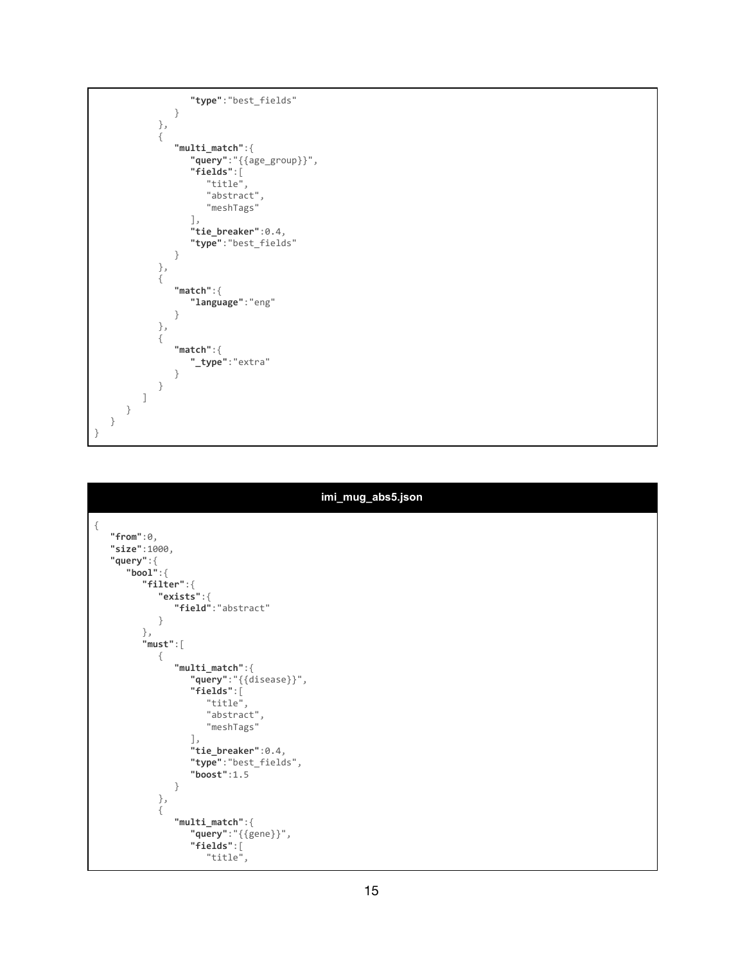```
"type":"best_fields"
               }
            },
            {
               "multi_match":{
                  "query":"{{age_group}}",
                  "fields":[
                     "title",
                     "abstract",
                     "meshTags"
                  ],
                  "tie_breaker":0.4,
                  "type":"best_fields"
               }
           },
            {
               "match":{
                  "language":"eng"
               }
           },
            {
               "match":{
                  "_type":"extra"
             }
            }
         ]
      }
 }
}
```

| imi_mug_abs5.json                                                                                                                                                                                                                                                                                                                            |
|----------------------------------------------------------------------------------------------------------------------------------------------------------------------------------------------------------------------------------------------------------------------------------------------------------------------------------------------|
| €<br>"from": $0,$<br>"size":1000,<br>"query":<br>"bool":<br>"filter":<br>"exists":<br>"field":"abstract"<br>$\mathcal{F}$<br>},<br>"must":<br>₹<br>$"multi_matrix" :$<br>"query":"{{disease}}",<br>"fields":[<br>"title",<br>"abstract",<br>"meshTags"<br>J,<br>"tie_breaker":0.4,<br>"type":"best_fields",<br>"boost": $1.5$<br>}<br>$\}$ , |
| ł<br>$"multi_matrix" :$<br>"query": "{{gene}}",<br>"fields":[<br>"title",                                                                                                                                                                                                                                                                    |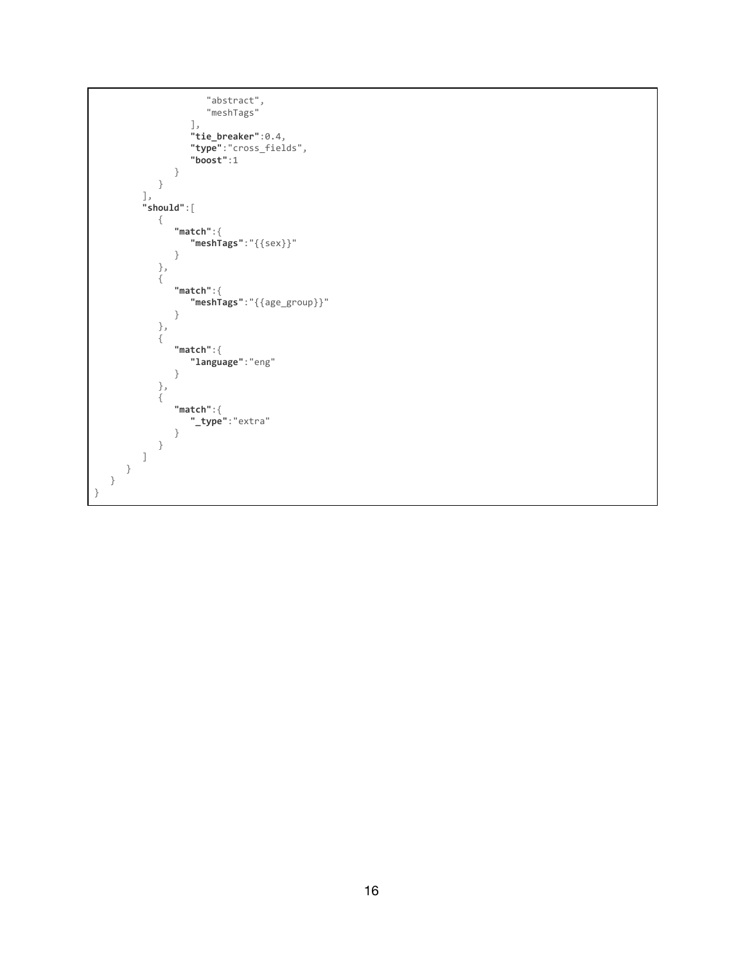```
"abstract",
                      "meshTags"
                  ],
                  "tie_breaker":0.4,
                  "type":"cross_fields",
                  "boost":1
               }
           }
         ],
         "should":[
            {
               "match":{
                 "meshTags":"{{sex}}"
               }
            },
            {
               "match":{
                  "meshTags":"{{age_group}}"
               }
            },
            {
               "match":{
                  "language":"eng"
               }
            },
            {
               "match":{
                 "_type":"extra"
               }
           }
         ]
      }
   }
}
```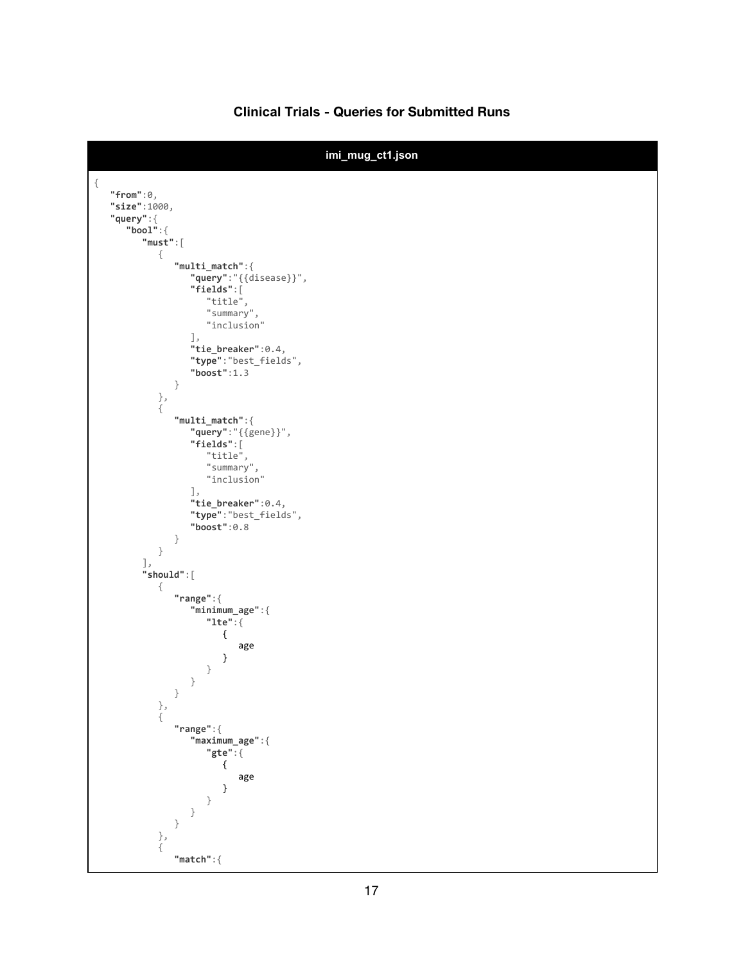### **Clinical Trials - Queries for Submitted Runs**

```
imi_mug_ct1.json
{
   "from":0,
   "size":1000,
   "query":{
      "bool":{
         "must":[
            {
               "multi_match":{
                   "query":"{{disease}}",
                   "fields":[
                      "title",
                      "summary",
                     "inclusion"
                   ],
                   "tie_breaker":0.4,
                   "type":"best_fields",
                   "boost":1.3
               }
            },
            {
               "multi_match":{
                   "query":"{{gene}}",
                   "fields":[
                      "title",
                      "summary",
                     "inclusion"
                   ],
                   "tie_breaker":0.4,
                   "type":"best_fields",
                   "boost":0.8
               }
            }
         ],
         "should":[
            {
               "range":{
                  "minimum_age":{
                      "lte":{
                        {
                            age
                        }
                     }
                  }
               }
            },
            {
               "range":{
                  "maximum_age":{
                      "gte":{
                        {
                            age
                        }
                     }
                  }
               }
            },
            {
               "match":{
```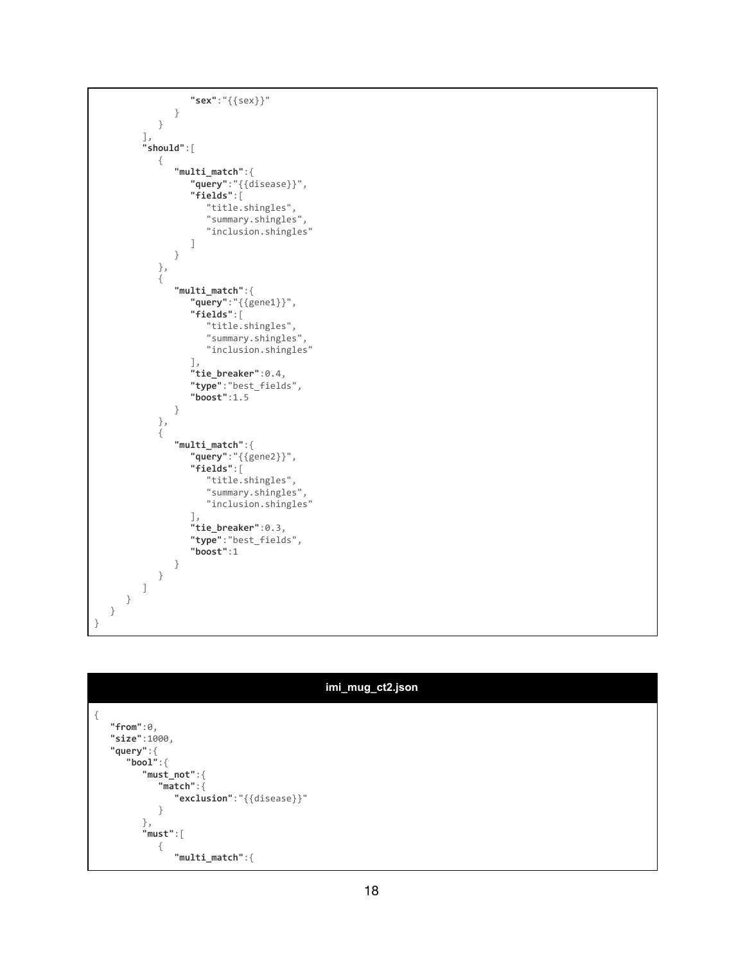```
"sex":"{{sex}}"
               }
            }
         ],
         "should":[
            {
               "multi_match":{
                  "query":"{{disease}}",
                  "fields":[
                     "title.shingles",
                     "summary.shingles",
                     "inclusion.shingles"
                  ]
               }
            },
            {
               "multi_match":{
                  "query":"{{gene1}}",
                  "fields":[
                     "title.shingles",
                     "summary.shingles",
                     "inclusion.shingles"
                  ],
                  "tie_breaker":0.4,
                  "type":"best_fields",
                  "boost":1.5
               }
            },
            {
               "multi_match":{
                  "query":"{{gene2}}",
                  "fields":[
                     "title.shingles",
                     "summary.shingles",
                     "inclusion.shingles"
                  ],
                  "tie_breaker":0.3,
                  "type":"best_fields",
                  "boost":1
               }
           }
        ]
     }
  }
}
```
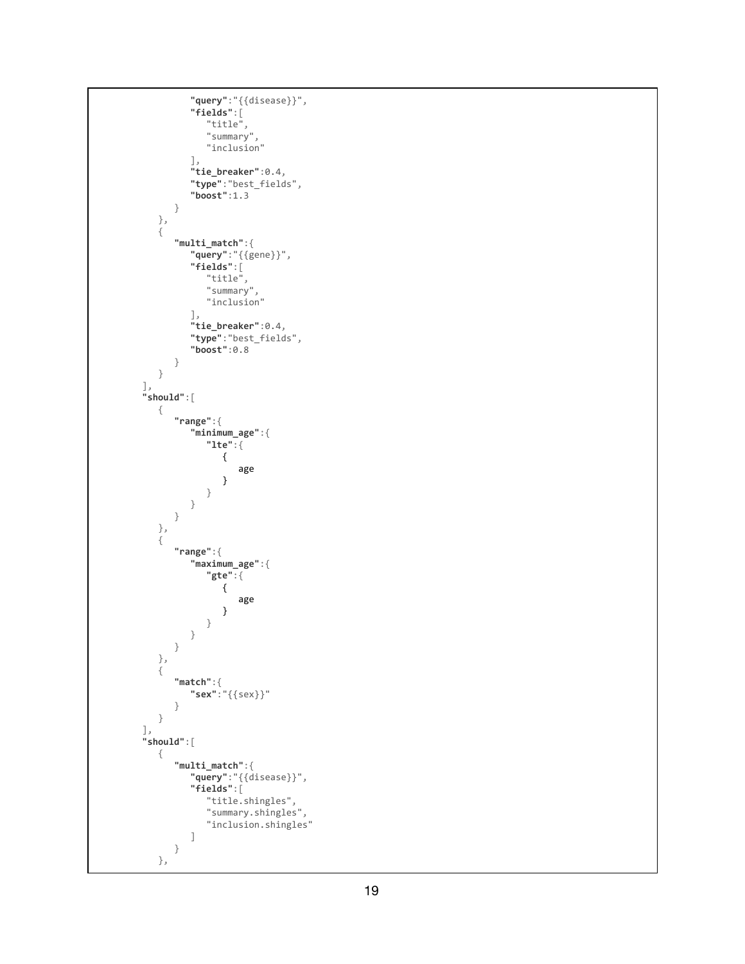```
"
q
u
e
r
y
"
:
"
{
{
d
i
s
e
a
s
e
}
}
"
,
               "
f
i
e
l
d
s
"
:
[
                    "title",
                    "
s
u
m
m
a
r
y
"
,
                    "
i
n
c
l
u
s
i
o
n
"
               ]
,
               "
t
i
e
_
b
r
e
a
k
e
r
"
:
0
.
4
,
               "
t
y
p
e
"
:
"
b
e
s
t
_f
i
e
l
d
                                               s
"
,
               "
b
o
o
s
t
"
:
1
.
3
         }
     }
,
    {
          "
m
u
l
t
i
_
m
a
t
c
h
"
:
{
               "
q
u
e
r
y
"
:
"
{
{
g
e
n
e
}
}
"
,
               "
f
i
e
l
d
s
"
:
[
                    "title",
                    "
s
u
m
m
a
r
y
"
,
                    "
i
n
c
l
u
s
i
o
n
"
               ]
,
               "
t
i
e
_
b
r
e
a
k
e
r
"
:
0
.
4
,
               "
t
y
p
e
"
:
"
b
e
s
t
_f
i
e
l
d
s
"
,
               "
b
o
o
s
t
"
:
0
.
8
         }
   }
]
,
"
s
h
o
u
l
d
"
:
[
     {
          "
r
a
n
g
e
"
:
{
               "
m
i
n
i
m
u
m
_
a
g
e
"
:
{
                    "
l
t
e
"
:
{
                         {
                               a
g
e
                         }
                    }
              }
         }
     }
,
    {
          "
r
a
n
g
e
"
:
{
               "
m
a
x
i
m
u
m
_
a
g
e
"
:
{
                    "
g
t
e
"
:
{
                         {
                               a
g
e
                         }
                    }
              }
         }
     }
,
    {
          "
m
a
t
c
h
"
:
{
               "
s
e
x
"
:
"
{
{
s
e
x
}
}
"
         }
    }
]
,
"
s
h
o
u
l
d
"
:
[
     {
          "
m
u
l
t
i
_
m
a
t
c
h
"
:
{
               "
q
u
e
r
y
"
:
"
{
{
d
i
s
e
a
s
e
}
}
"
,
               "
f
i
e
l
d
s
"
:
[
                    "title.shingles",
                    "summary.shingles",
                    "inclusion.shingles"
              ]
         }
     }
,
```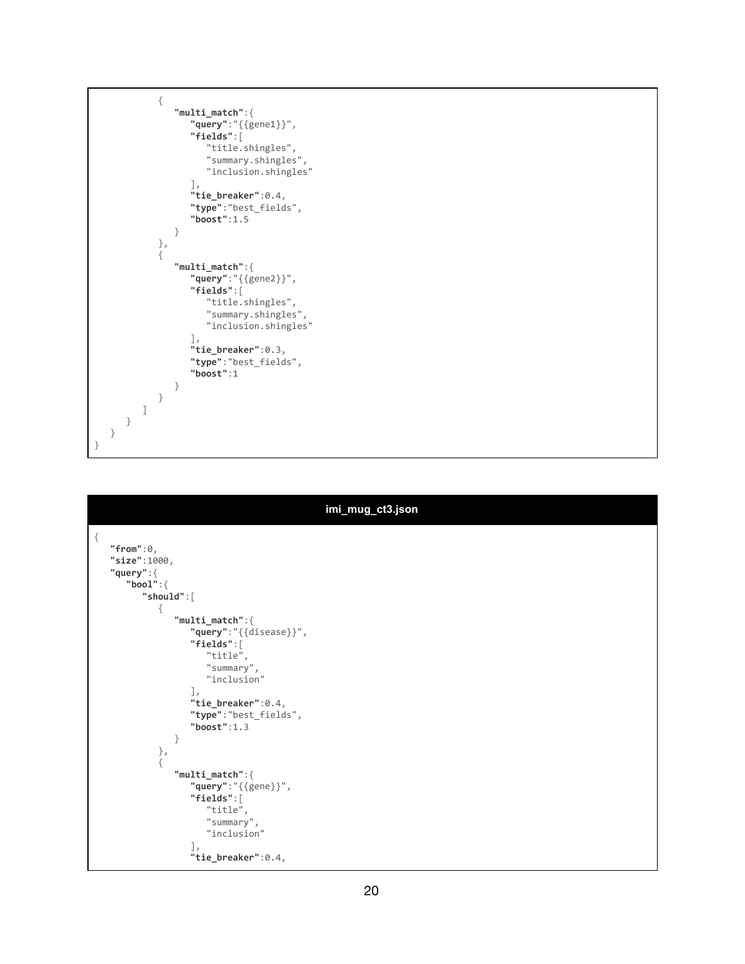```
{
               "multi_match":{
                  "query":"{{gene1}}",
                  "fields":[
                     "title.shingles",
                     "summary.shingles",
                     "inclusion.shingles"
                  ],
                  "tie_breaker":0.4,
                  "type":"best_fields",
                  "boost":1.5
               }
            },
            {
               "multi_match":{
                  "query":"{{gene2}}",
                  "fields":[
                     "title.shingles",
                     "summary.shingles",
                     "inclusion.shingles"
                  ],
                  "tie_breaker":0.3,
                  "type":"best_fields",
                  "boost":1
              }
           }
        ]
     }
  }
}
```

|      | imi_mug_ct3.json                                                                                                                                                                                                                                                            |  |  |  |  |  |  |  |
|------|-----------------------------------------------------------------------------------------------------------------------------------------------------------------------------------------------------------------------------------------------------------------------------|--|--|--|--|--|--|--|
| $\{$ | "from": $0,$<br>"size":1000,<br>"query":<br>"bool":<br>"should":[<br>€<br>$"multi_matrix" :$<br>"query":"{{disease}}",<br>$"fields"$ :[<br>"title",<br>"summary",<br>"inclusion"<br>$\cdot$<br>"tie_breaker":0.4,<br>"type":"best_fields",<br>"boost": $1.3$<br>}<br>$\}$ , |  |  |  |  |  |  |  |
|      | €<br>$"multi_matrix" :$<br>"query": "{{gene}}",<br>$"fields"$ : [<br>"title",<br>"summary",<br>"inclusion"<br>$\cdot$<br>"tie_breaker":0.4,                                                                                                                                 |  |  |  |  |  |  |  |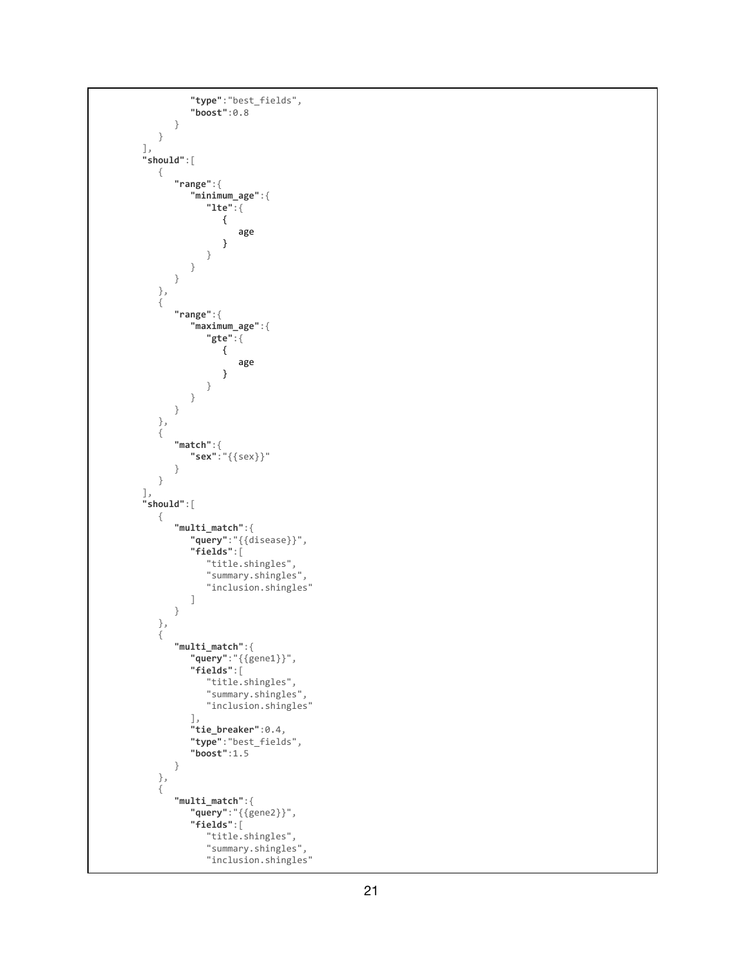```
"
t
y
p
e
"
:
"
b
e
s
t
_f
i
e
l
d
s
"
,
              "
b
o
o
s
t
"
:
0
.
8
         }
   }
]
,
"
s
h
o
u
l
d
"
:
[
   {
         "
r
a
n
g
e
"
:
{
              "
m
i
n
i
m
u
m
_
a
g
e
"
:
{
                   "
l
t
e
"
:
{
                       {
                             a
g
e
                       }
                  }
             }
        }
    }
,
    {
         "
r
a
n
g
e
"
:
{
              "
m
a
x
i
m
u
m
_
a
g
e
"
:
{
                   "
g
t
e
"
:
{
                       {
                             a
g
e
                       }
                  }
             }
        }
    }
,
    {
         "
m
a
t
c
h
"
:
{
              "
s
e
x
"
:
"
{
{
s
e
x
}
}
"
         }
   }
]
,
"
s
h
o
u
l
d
"
:
[
    {
         "
m
u
l
t
i
_
m
a
t
c
h
"
:
{
              "
q
u
e
r
y
"
:
"
{
{
d
i
s
e
a
s
e
}
}
"
,
              "
f
i
e
l
d
s
"
:
[
                   "title.shingles",
                   "summary.shingles",
                   "inclusion.shingles"
             ]
         }
    }
,
    {
         "
m
u
l
t
i
_
m
a
t
c
h
"
:
{
              "
q
u
e
r
y
"
:
"
{
{
g
e
n
e
1
}
}
"
,
              "
f
i
e
l
d
s
"
:
[
                   "title.shingles",
                   "summary.shingles",
                   "inclusion.shingles"
              ]
,
              "
t
i
e
_
b
r
e
a
k
e
r
"
:
0
.
4
,
              "
t
y
p
e
"
:
"
b
e
s
t
_f
i
e
l
d
s
"
,
              "
b
o
o
s
t
"
:
1
.
5
         }
    }
,
    {
         "
m
u
l
t
i
_
m
a
t
c
h
"
:
{
              "
q
u
e
r
y
"
:
"
{
{
g
e
n
e
2
}
}
"
,
              "
f
i
e
l
d
s
"
:
[
                   "title.shingles",
                   "summary.shingles",
                   "inclusion.shingles"
```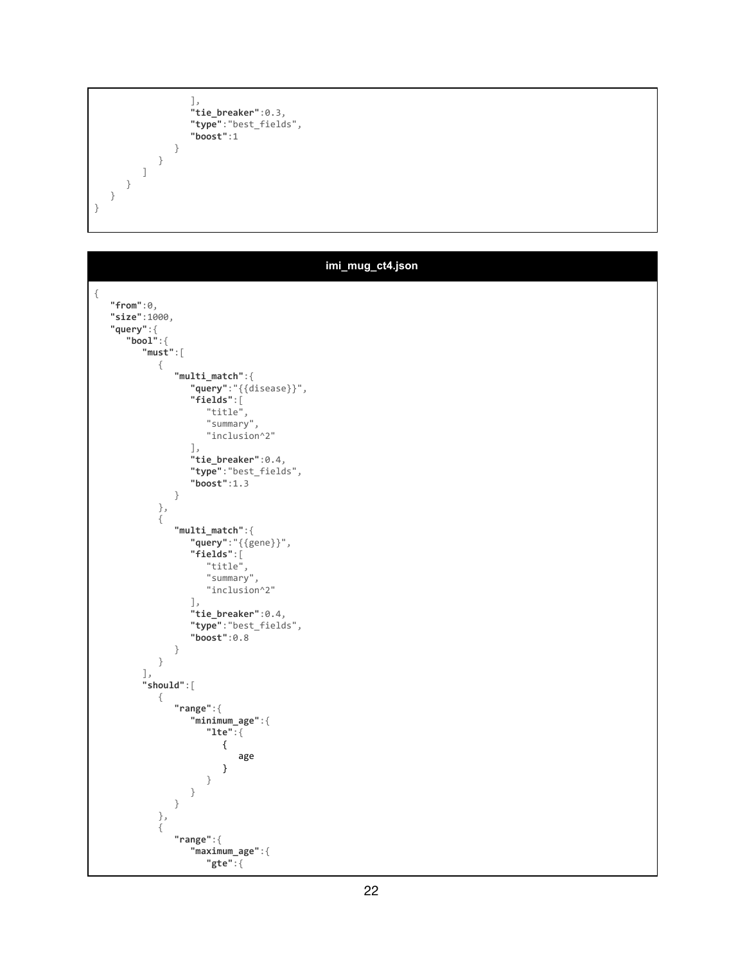```
],
                "tie_breaker":0.3,
                "type":"best_fields",
                "boost":1
             }
          }
       ]
    }
 }
}
```
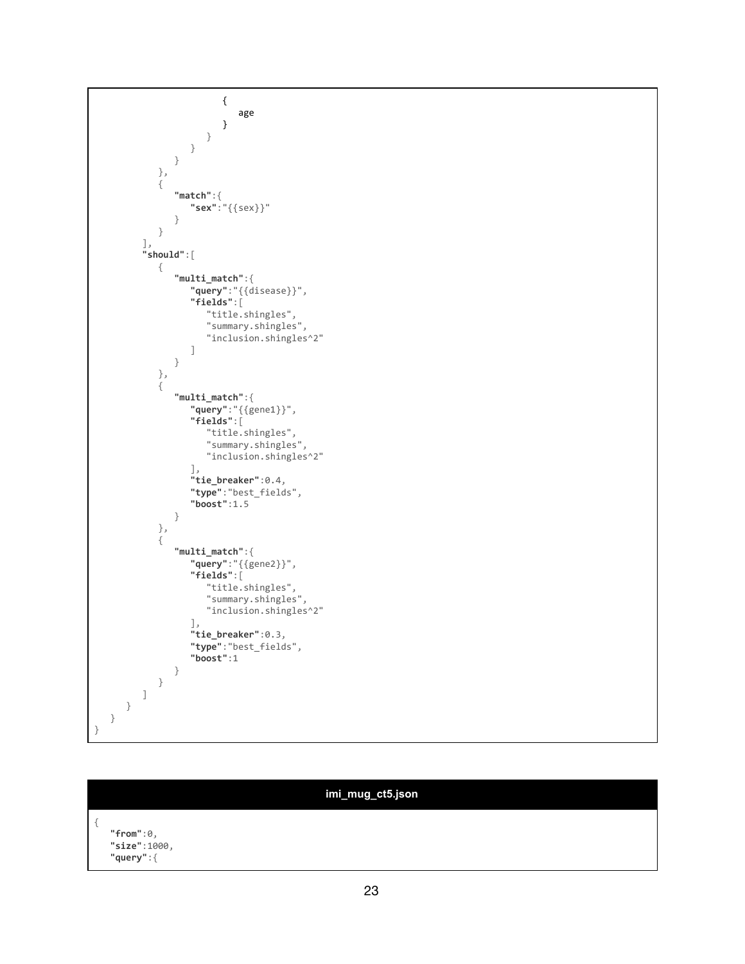```
{
                           age
                        }
                     }
                 }
               }
            },
            {
               "match":{
                  "sex":"{{sex}}"
               }
            }
         ],
         "should":[
            {
               "multi_match":{
                   "query":"{{disease}}",
                   "fields":[
                      "title.shingles",
                      "summary.shingles",
                     "inclusion.shingles^2"
                  ]
               }
            },
            {
               "multi_match":{
                   "query":"{{gene1}}",
                   "fields":[
                     "title.shingles",
                     "summary.shingles",
                     "inclusion.shingles^2"
                   ],
                   "tie_breaker":0.4,
                  "type":"best_fields",
                  "boost":1.5
               }
            },
            {
               "multi_match":{
                   "query":"{{gene2}}",
                   "fields":[
                     "title.shingles",
                     "summary.shingles",
                     "inclusion.shingles^2"
                   ],
                   "tie_breaker":0.3,
                  "type":"best_fields",
                  "boost":1
              }
          }
         ]
      }
  }
}
```

|                                               | imi_mug_ct5.json |  |
|-----------------------------------------------|------------------|--|
| $"from":\theta,$<br>"size":1000,<br>"query":{ |                  |  |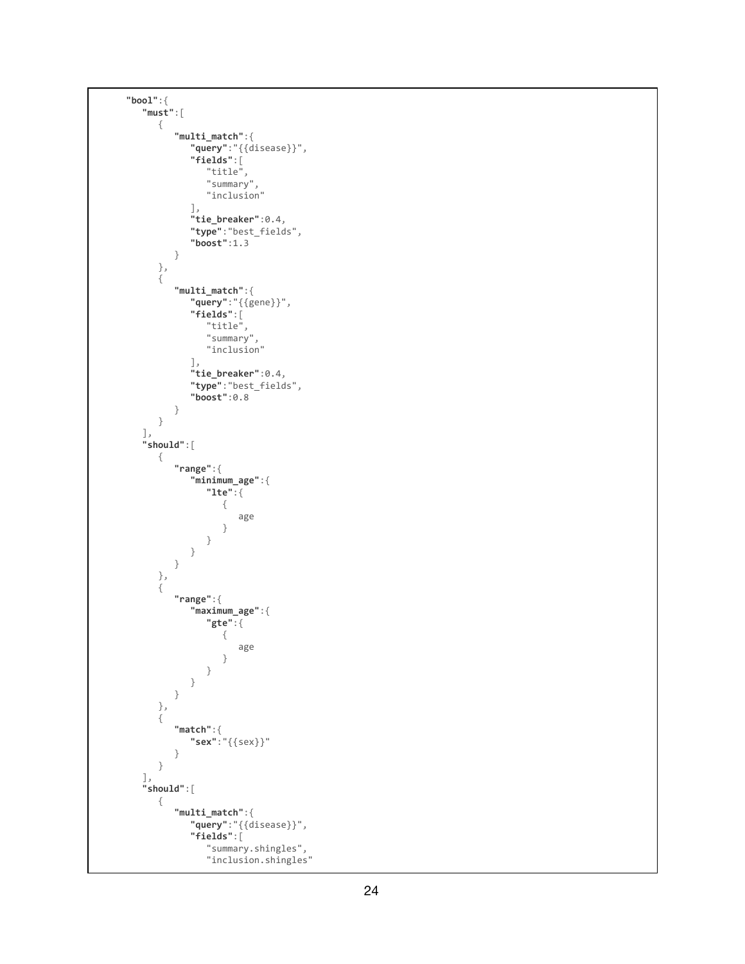```
"
b
o
o
l
"
:
{
     "
m
u
s
t
"
:
[
         {
                "
m
u
l
t
i
_
m
a
t
c
h
"
:
{
                     "
q
u
e
r
y
"
:
"
{
{
d
i
s
e
a
s
e
}
}
"
,
                     "
f
i
e
l
d
s
"
:
[
                          "title",
                          "
s
u
m
m
a
r
y
"
,
                          "
i
n
c
l
u
s
i
o
n
"
                     ]
,
                     "
t
i
e
_
b
r
e
a
k
e
r
"
:
0
.
4
,
                     "
t
y
p
e
"
:
"
b
e
s
t
_f
i
e
l
d
s
"
,
                     "
b
o
o
s
t
"
:
1
.
3
               }
          }
,
         {
                "
m
u
l
t
i
_
m
a
t
c
h
"
:
{
                     "
q
u
e
r
y
"
:
"
{
{
g
e
n
e
}
}
"
,
                     "
f
i
e
l
d
s
"
:
[
                          "title",
                          "
s
u
m
m
a
r
y
"
,
                          "
i
n
c
l
u
s
i
o
n
"
                     ]
,
                     "
t
i
e
_
b
r
e
a
k
e
r
"
:
0
.
4
,
                     "
t
y
p
e
"
:
"
b
e
s
t
_f
i
e
l
d
s
"
,
                     "
b
o
o
s
t
"
:
0
.
8
               }
         }
     ]
,
     "
s
h
o
u
l
d
"
:
[
         {
                "
r
a
n
g
e
"
:
{
                     "
m
i
n
i
m
u
m
_
a
g
e
"
:
{
                          "
l
t
e
"
:
{
                               {
                                     a
g
e
                              }
                         }
                    }
               }
          }
,
         {
                "
r
a
n
g
e
"
:
{
                     "
m
a
x
i
m
u
m
_
a
g
e
"
:
{
                          "
g
t
e
"
:
{
                               {
                                     a
g
e
                              }
                          }
                    }
               }
          }
,
          {
                "
m
a
t
c
h
"
:
{
                     "
s
e
x
"
:
"
{
{
s
e
x
}
}
"
               }
         }
     ]
,
     "
s
h
o
u
l
d
"
:
[
         {
                "
m
u
l
t
i
_
m
a
t
c
h
"
:
{
                     "
q
u
e
r
y
"
:
"
{
{
d
i
s
e
a
s
e
}
}
"
,
                     "
f
i
e
l
d
s
"
:
[
                          "summary.shingles",
                          "inclusion.shingles"
```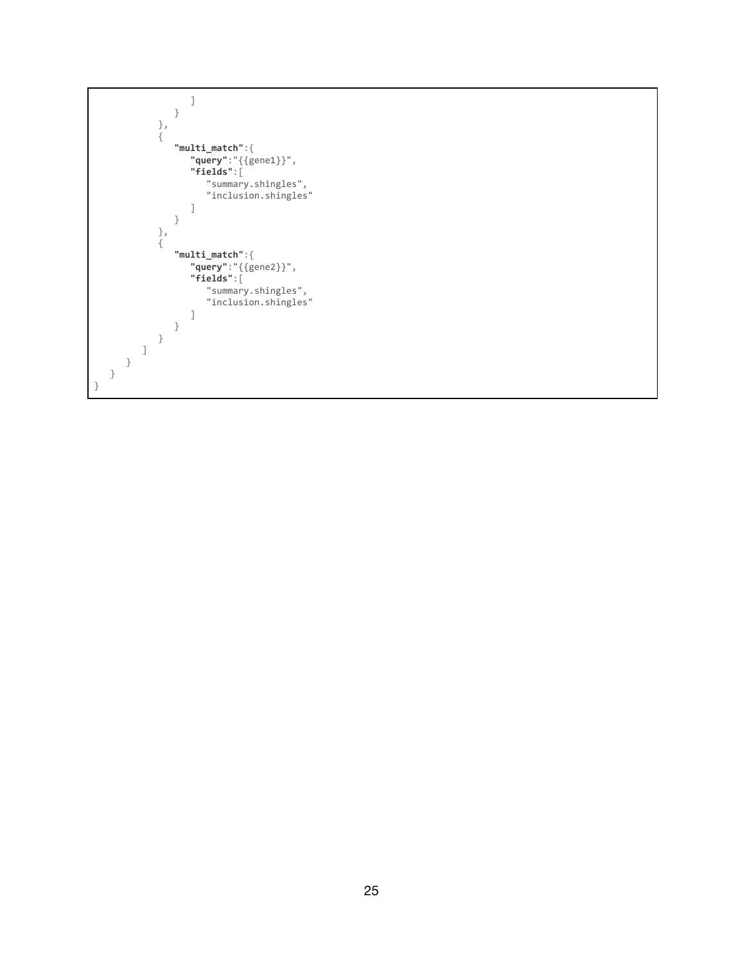```
]
               }
            },
            {
               "multi_match":{
                   "query":"{{gene1}}",
                   "fields":[
                      "summary.shingles",
                      "inclusion.shingles"
                  ]
               }
            },
            {
               "multi_match":{
                   "query":"{{gene2}}",
                   "fields":[
                      "summary.shingles",
                      "inclusion.shingles"
                  ]
             }
          }
         ]
      }
   }
}
```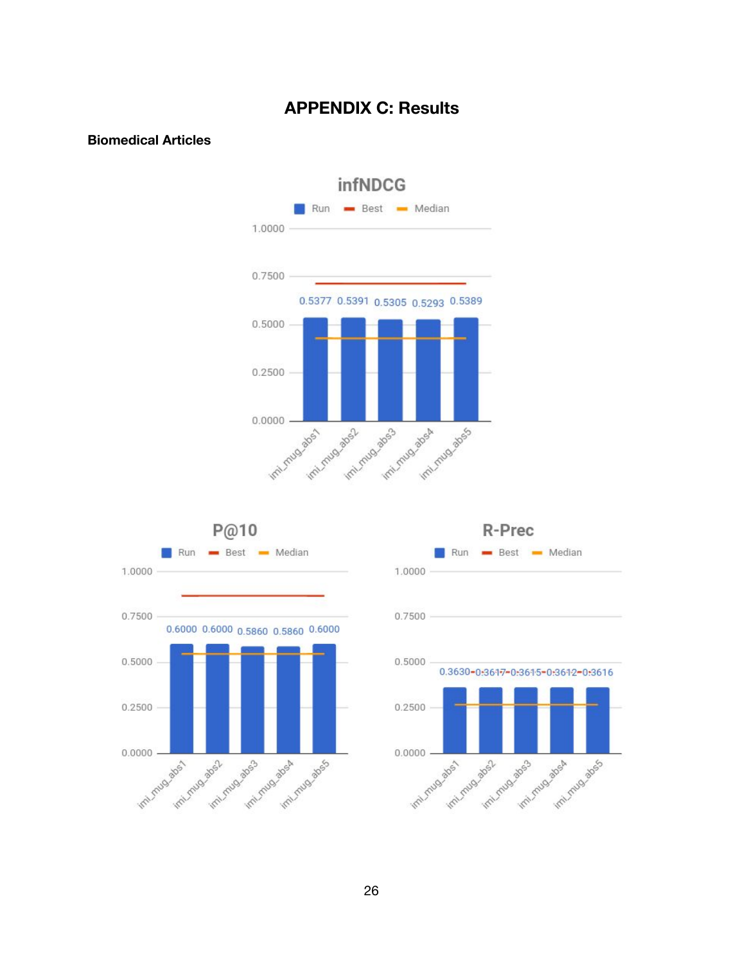## **APPENDIX C: Results**

### <span id="page-25-0"></span>**Biomedical Articles**